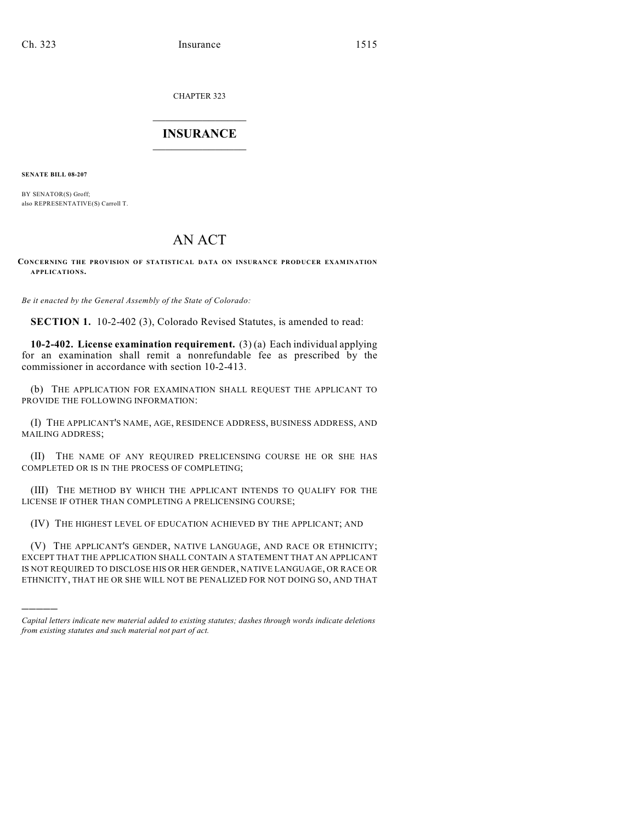CHAPTER 323

## $\overline{\phantom{a}}$  . The set of the set of the set of the set of the set of the set of the set of the set of the set of the set of the set of the set of the set of the set of the set of the set of the set of the set of the set o **INSURANCE**  $\frac{1}{2}$  ,  $\frac{1}{2}$  ,  $\frac{1}{2}$  ,  $\frac{1}{2}$  ,  $\frac{1}{2}$  ,  $\frac{1}{2}$  ,  $\frac{1}{2}$

**SENATE BILL 08-207**

)))))

BY SENATOR(S) Groff; also REPRESENTATIVE(S) Carroll T.

## AN ACT

## **CONCERNING THE PROVISION OF STATISTICAL DATA ON INSURANCE PRODUCER EXAMINATION APPLICATIONS.**

*Be it enacted by the General Assembly of the State of Colorado:*

**SECTION 1.** 10-2-402 (3), Colorado Revised Statutes, is amended to read:

**10-2-402. License examination requirement.** (3) (a) Each individual applying for an examination shall remit a nonrefundable fee as prescribed by the commissioner in accordance with section 10-2-413.

(b) THE APPLICATION FOR EXAMINATION SHALL REQUEST THE APPLICANT TO PROVIDE THE FOLLOWING INFORMATION:

(I) THE APPLICANT'S NAME, AGE, RESIDENCE ADDRESS, BUSINESS ADDRESS, AND MAILING ADDRESS;

(II) THE NAME OF ANY REQUIRED PRELICENSING COURSE HE OR SHE HAS COMPLETED OR IS IN THE PROCESS OF COMPLETING;

(III) THE METHOD BY WHICH THE APPLICANT INTENDS TO QUALIFY FOR THE LICENSE IF OTHER THAN COMPLETING A PRELICENSING COURSE;

(IV) THE HIGHEST LEVEL OF EDUCATION ACHIEVED BY THE APPLICANT; AND

(V) THE APPLICANT'S GENDER, NATIVE LANGUAGE, AND RACE OR ETHNICITY; EXCEPT THAT THE APPLICATION SHALL CONTAIN A STATEMENT THAT AN APPLICANT IS NOT REQUIRED TO DISCLOSE HIS OR HER GENDER, NATIVE LANGUAGE, OR RACE OR ETHNICITY, THAT HE OR SHE WILL NOT BE PENALIZED FOR NOT DOING SO, AND THAT

*Capital letters indicate new material added to existing statutes; dashes through words indicate deletions from existing statutes and such material not part of act.*